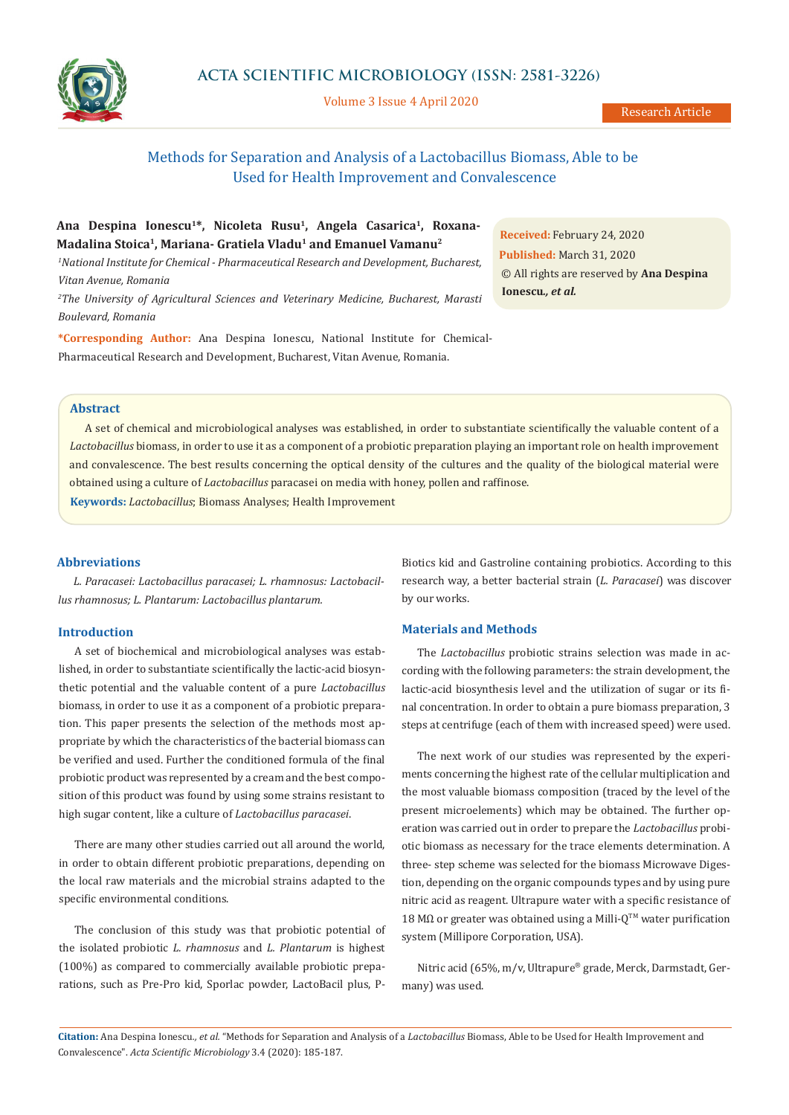

Volume 3 Issue 4 April 2020

# Methods for Separation and Analysis of a Lactobacillus Biomass, Able to be Used for Health Improvement and Convalescence

## Ana Despina Ionescu<sup>1\*</sup>, Nicoleta Rusu<sup>1</sup>, Angela Casarica<sup>1</sup>, Roxana-**Madalina Stoica1, Mariana- Gratiela Vladu1 and Emanuel Vamanu2**

*1 National Institute for Chemical - Pharmaceutical Research and Development, Bucharest, Vitan Avenue, Romania*

*2 The University of Agricultural Sciences and Veterinary Medicine, Bucharest, Marasti Boulevard, Romania*

**\*Corresponding Author:** Ana Despina Ionescu, National Institute for Chemical-Pharmaceutical Research and Development, Bucharest, Vitan Avenue, Romania.

**Received:** February 24, 2020 **Published:** March 31, 2020 © All rights are reserved by **Ana Despina Ionescu***., et al.*

### **Abstract**

A set of chemical and microbiological analyses was established, in order to substantiate scientifically the valuable content of a *Lactobacillus* biomass, in order to use it as a component of a probiotic preparation playing an important role on health improvement and convalescence. The best results concerning the optical density of the cultures and the quality of the biological material were obtained using a culture of *Lactobacillus* paracasei on media with honey, pollen and raffinose.

**Keywords:** *Lactobacillus*; Biomass Analyses; Health Improvement

#### **Abbreviations**

*L. Paracasei: Lactobacillus paracasei; L. rhamnosus: Lactobacillus rhamnosus; L. Plantarum: Lactobacillus plantarum.*

#### **Introduction**

A set of biochemical and microbiological analyses was established, in order to substantiate scientifically the lactic-acid biosynthetic potential and the valuable content of a pure *Lactobacillus* biomass, in order to use it as a component of a probiotic preparation. This paper presents the selection of the methods most appropriate by which the characteristics of the bacterial biomass can be verified and used. Further the conditioned formula of the final probiotic product was represented by a cream and the best composition of this product was found by using some strains resistant to high sugar content, like a culture of *Lactobacillus paracasei*.

There are many other studies carried out all around the world, in order to obtain different probiotic preparations, depending on the local raw materials and the microbial strains adapted to the specific environmental conditions.

The conclusion of this study was that probiotic potential of the isolated probiotic *L. rhamnosus* and *L. Plantarum* is highest (100%) as compared to commercially available probiotic preparations, such as Pre-Pro kid, Sporlac powder, LactoBacil plus, P-

Biotics kid and Gastroline containing probiotics. According to this research way, a better bacterial strain (*L. Paracasei*) was discover by our works.

#### **Materials and Methods**

The *Lactobacillus* probiotic strains selection was made in according with the following parameters: the strain development, the lactic-acid biosynthesis level and the utilization of sugar or its final concentration. In order to obtain a pure biomass preparation, 3 steps at centrifuge (each of them with increased speed) were used.

The next work of our studies was represented by the experiments concerning the highest rate of the cellular multiplication and the most valuable biomass composition (traced by the level of the present microelements) which may be obtained. The further operation was carried out in order to prepare the *Lactobacillus* probiotic biomass as necessary for the trace elements determination. A three- step scheme was selected for the biomass Microwave Digestion, depending on the organic compounds types and by using pure nitric acid as reagent. Ultrapure water with a specific resistance of 18 MΩ or greater was obtained using a Milli-Q<sup>™</sup> water purification system (Millipore Corporation, USA).

Nitric acid (65%, m/v, Ultrapure® grade, Merck, Darmstadt, Germany) was used.

**Citation:** Ana Despina Ionescu*., et al.* "Methods for Separation and Analysis of a *Lactobacillus* Biomass, Able to be Used for Health Improvement and Convalescence". *Acta Scientific Microbiology* 3.4 (2020): 185-187.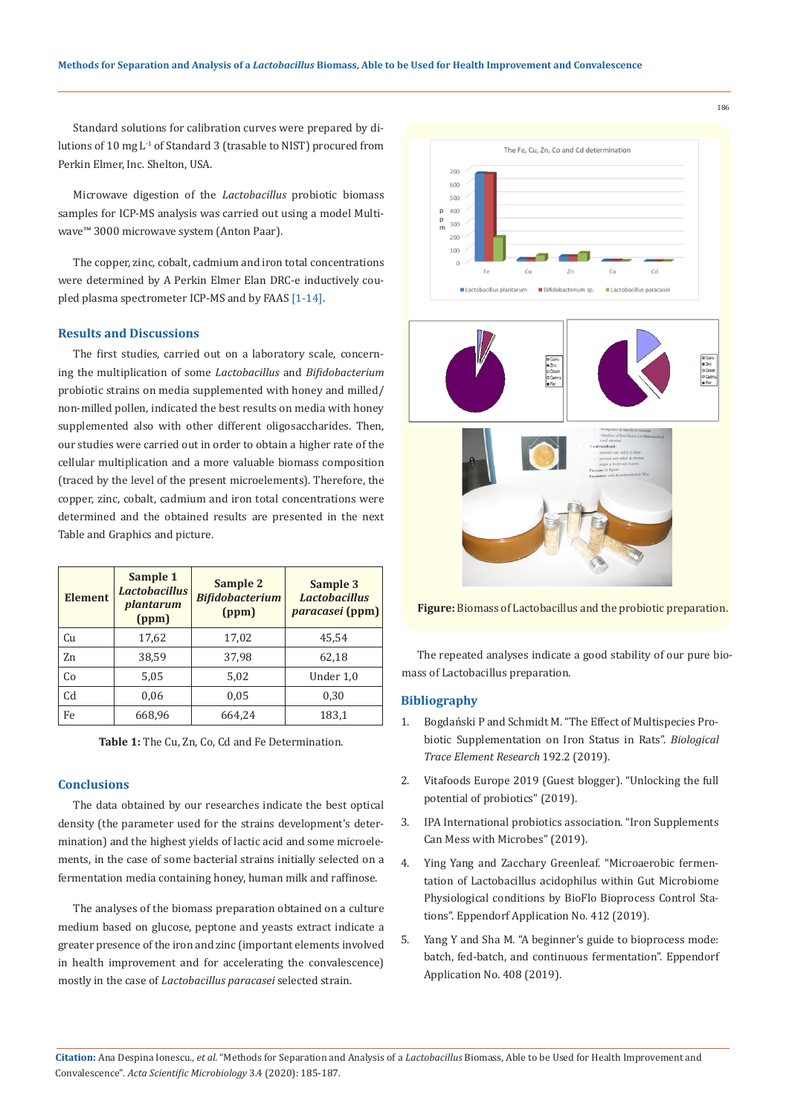Standard solutions for calibration curves were prepared by dilutions of 10 mg L<sup>-1</sup> of Standard 3 (trasable to NIST) procured from Perkin Elmer, Inc. Shelton, USA.

Microwave digestion of the *Lactobacillus* probiotic biomass samples for ICP-MS analysis was carried out using a model Multiwave™ 3000 microwave system (Anton Paar).

The copper, zinc, cobalt, cadmium and iron total concentrations were determined by A Perkin Elmer Elan DRC-e inductively coupled plasma spectrometer ICP-MS and by FAAS [1-14].

#### **Results and Discussions**

The first studies, carried out on a laboratory scale, concerning the multiplication of some *Lactobacillus* and *Bifidobacterium* probiotic strains on media supplemented with honey and milled/ non-milled pollen, indicated the best results on media with honey supplemented also with other different oligosaccharides. Then, our studies were carried out in order to obtain a higher rate of the cellular multiplication and a more valuable biomass composition (traced by the level of the present microelements). Therefore, the copper, zinc, cobalt, cadmium and iron total concentrations were determined and the obtained results are presented in the next Table and Graphics and picture.

| <b>Element</b> | Sample 1<br><b>Lactobacillus</b><br>plantarum<br>(ppm) | Sample 2<br><b>Bifidobacterium</b><br>(ppm) | Sample 3<br><b>Lactobacillus</b><br><i>paracasei</i> (ppm) |
|----------------|--------------------------------------------------------|---------------------------------------------|------------------------------------------------------------|
| Cu             | 17,62                                                  | 17,02                                       | 45,54                                                      |
| Zn             | 38.59                                                  | 37,98                                       | 62,18                                                      |
| Co             | 5,05                                                   | 5,02                                        | Under 1,0                                                  |
| Cd             | 0.06                                                   | 0,05                                        | 0,30                                                       |
| Fe             | 668,96                                                 | 664.24                                      | 183,1                                                      |

**Table 1:** The Cu, Zn, Co, Cd and Fe Determination.

#### **Conclusions**

The data obtained by our researches indicate the best optical density (the parameter used for the strains development's determination) and the highest yields of lactic acid and some microelements, in the case of some bacterial strains initially selected on a fermentation media containing honey, human milk and raffinose.

The analyses of the biomass preparation obtained on a culture medium based on glucose, peptone and yeasts extract indicate a greater presence of the iron and zinc (important elements involved in health improvement and for accelerating the convalescence) mostly in the case of *Lactobacillus paracasei* selected strain.



**Figure:** Biomass of Lactobacillus and the probiotic preparation.

The repeated analyses indicate a good stability of our pure biomass of Lactobacillus preparation.

#### **Bibliography**

- 1. Bogdański P and Schmidt M. "The Effect of Multispecies Probiotic Supplementation on Iron Status in Rats". *Biological Trace Element Research* 192.2 (2019).
- 2. Vitafoods Europe 2019 (Guest blogger). "Unlocking the full potential of probiotics" (2019).
- 3. IPA International probiotics association. "Iron Supplements Can Mess with Microbes" (2019).
- 4. Ying Yang and Zacchary Greenleaf. "Microaerobic fermentation of Lactobacillus acidophilus within Gut Microbiome Physiological conditions by BioFlo Bioprocess Control Stations". Eppendorf Application No. 412 (2019).
- 5. Yang Y and Sha M. "A beginner's guide to bioprocess mode: batch, fed-batch, and continuous fermentation". Eppendorf Application No. 408 (2019).

186

**Citation:** Ana Despina Ionescu*., et al.* "Methods for Separation and Analysis of a *Lactobacillus* Biomass, Able to be Used for Health Improvement and Convalescence". *Acta Scientific Microbiology* 3.4 (2020): 185-187.